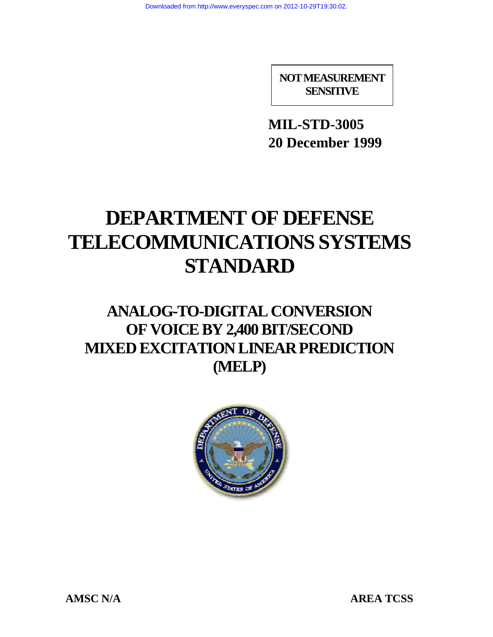**NOT MEASUREMENT SENSITIVE**

**MIL-STD-3005 20 December 1999**

# **DEPARTMENT OF DEFENSE TELECOMMUNICATIONS SYSTEMS STANDARD**

# **ANALOG-TO-DIGITAL CONVERSION OF VOICE BY 2,400 BIT/SECOND MIXED EXCITATION LINEAR PREDICTION (MELP)**



AMSC N/A AREA TCSS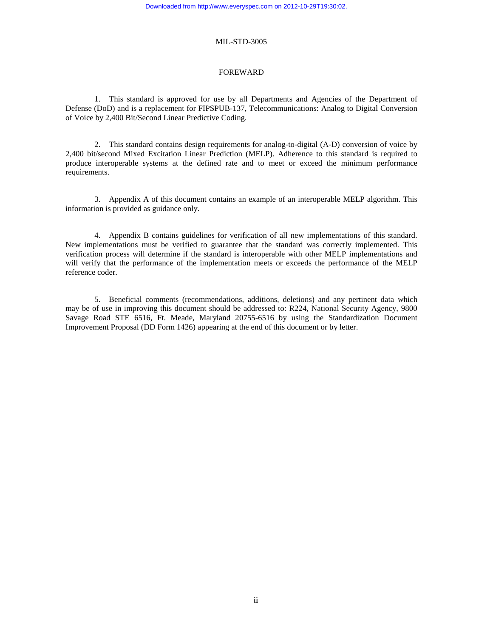#### FOREWARD

<span id="page-1-0"></span>1. This standard is approved for use by all Departments and Agencies of the Department of Defense (DoD) and is a replacement for FIPSPUB-137, Telecommunications: Analog to Digital Conversion of Voice by 2,400 Bit/Second Linear Predictive Coding.

2. This standard contains design requirements for analog-to-digital (A-D) conversion of voice by 2,400 bit/second Mixed Excitation Linear Prediction (MELP). Adherence to this standard is required to produce interoperable systems at the defined rate and to meet or exceed the minimum performance requirements.

3. Appendix A of this document contains an example of an interoperable MELP algorithm. This information is provided as guidance only.

4. Appendix B contains guidelines for verification of all new implementations of this standard. New implementations must be verified to guarantee that the standard was correctly implemented. This verification process will determine if the standard is interoperable with other MELP implementations and will verify that the performance of the implementation meets or exceeds the performance of the MELP reference coder.

5. Beneficial comments (recommendations, additions, deletions) and any pertinent data which may be of use in improving this document should be addressed to: R224, National Security Agency, 9800 Savage Road STE 6516, Ft. Meade, Maryland 20755-6516 by using the Standardization Document Improvement Proposal (DD Form 1426) appearing at the end of this document or by letter.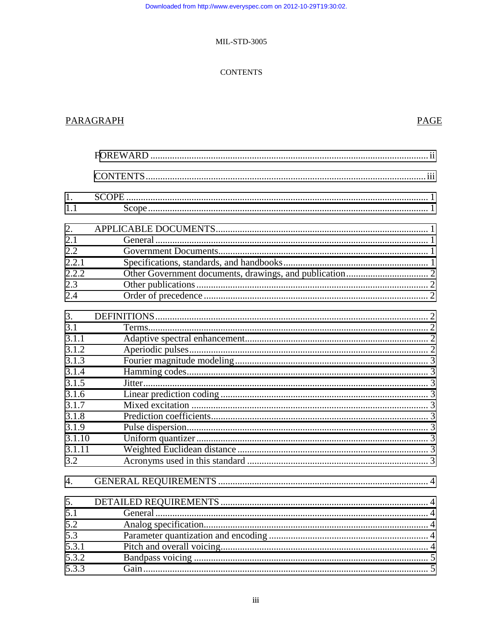#### **CONTENTS**

### **PARAGRAPH**

## **PAGE**

| 1.               |  |
|------------------|--|
| 1.1              |  |
| 2.               |  |
| 2.1              |  |
| 2.2              |  |
| 2.2.1            |  |
| 2.2.2            |  |
| 2.3              |  |
| 2.4              |  |
| 3.               |  |
| 3.1              |  |
| 3.1.1            |  |
| 3.1.2            |  |
| 3.1.3            |  |
| 3.1.4            |  |
| 3.1.5            |  |
| 3.1.6            |  |
| 3.1.7            |  |
| 3.1.8            |  |
| 3.1.9            |  |
| 3.1.10           |  |
| 3.1.11           |  |
| 3.2              |  |
| $\overline{4}$ . |  |
| 5.               |  |
| 5.1              |  |
| 5.2              |  |
| 5.3              |  |
| 5.3.1            |  |
| 5.3.2            |  |
| 5.3.3            |  |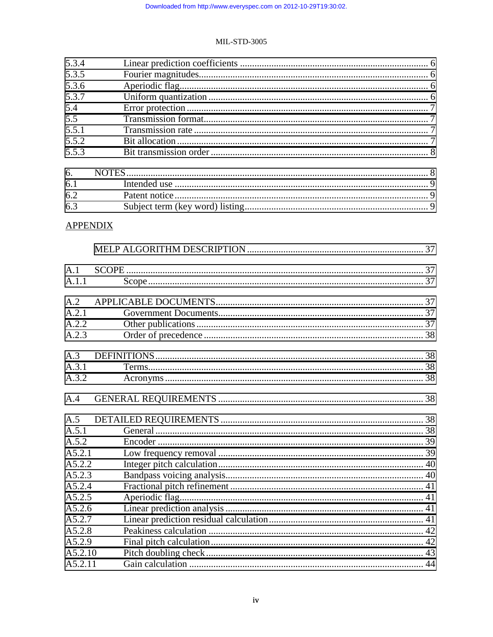#### **MIL-STD-3005**

| 5.3.4           |  |
|-----------------|--|
| 5.3.5           |  |
| 5.3.6           |  |
| 5.3.7           |  |
| 5.4             |  |
| 5.5             |  |
| 5.5.1           |  |
| 5.5.2           |  |
| 5.5.3           |  |
|                 |  |
| 6.              |  |
| 6.1             |  |
| 6.2             |  |
| 6.3             |  |
| <b>APPENDIX</b> |  |
|                 |  |
|                 |  |
| A.1             |  |
| A.1.1           |  |
| A.2             |  |
| A.2.1           |  |
| A.2.2           |  |
| A.2.3           |  |
|                 |  |
| A.3             |  |
| A.3.1           |  |
| A.3.2           |  |
| A.4             |  |
|                 |  |
|                 |  |
| A.5.1           |  |
| A.5.2           |  |
| A5.2.1          |  |
| A5.2.2          |  |
| A5.2.3          |  |
| A5.2.4          |  |
| A5.2.5          |  |
| A5.2.6          |  |
| A5.2.7          |  |
| A5.2.8          |  |
| A5.2.9          |  |
| A5.2.10         |  |
| A5.2.11         |  |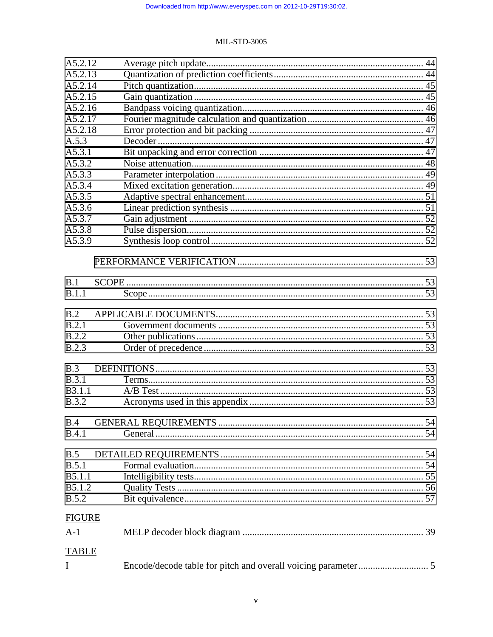| A5.2.12        |  |  |
|----------------|--|--|
| A5.2.13        |  |  |
| A5.2.14        |  |  |
| A5.2.15        |  |  |
| A5.2.16        |  |  |
| A5.2.17        |  |  |
| A5.2.18        |  |  |
| A.5.3          |  |  |
| A5.3.1         |  |  |
| A5.3.2         |  |  |
| A5.3.3         |  |  |
| A5.3.4         |  |  |
| A5.3.5         |  |  |
| A5.3.6         |  |  |
| A5.3.7         |  |  |
| A5.3.8         |  |  |
| A5.3.9         |  |  |
|                |  |  |
|                |  |  |
|                |  |  |
| B.1            |  |  |
| B.1.1          |  |  |
|                |  |  |
| B.2            |  |  |
| B.2.1          |  |  |
| <b>B.2.2</b>   |  |  |
| B.2.3          |  |  |
|                |  |  |
| B.3            |  |  |
| B.3.1          |  |  |
| <b>B</b> 3.1.1 |  |  |
| <b>B.3.2</b>   |  |  |
|                |  |  |
| B.4            |  |  |
| B.4.1          |  |  |
|                |  |  |
| B.5            |  |  |
| B.5.1          |  |  |
| B5.1.1         |  |  |
| B5.1.2         |  |  |
| <b>B.5.2</b>   |  |  |
| <b>FIGURE</b>  |  |  |
|                |  |  |
| $A-1$          |  |  |
| <b>TABLE</b>   |  |  |
|                |  |  |
| I              |  |  |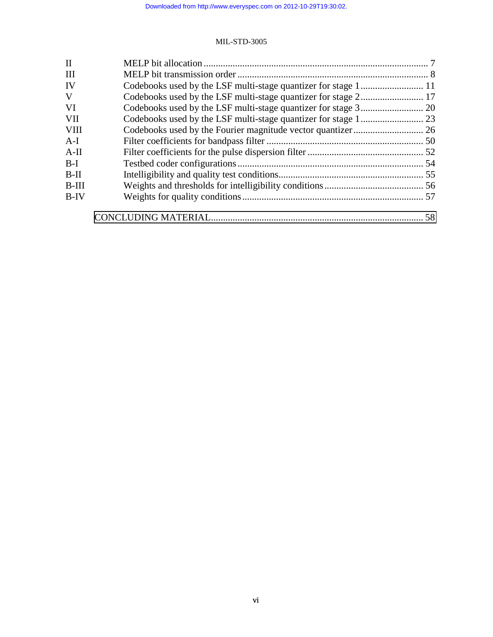| $\mathbf{I}$ |    |
|--------------|----|
| III          |    |
| IV           |    |
| V            |    |
| <b>VI</b>    |    |
| <b>VII</b>   |    |
| <b>VIII</b>  |    |
| $A-I$        |    |
| $A-II$       |    |
| $B-I$        |    |
| $B-II$       |    |
| $B-III$      |    |
| $B-IV$       |    |
|              | 58 |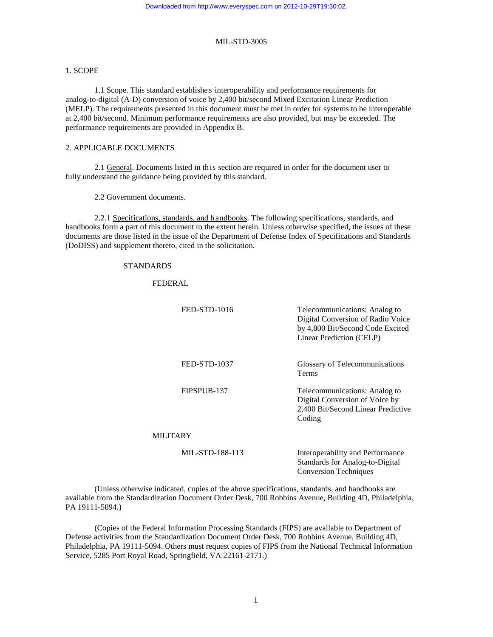#### <span id="page-6-0"></span>1. SCOPE

1.1 Scope. This standard establishe s interoperability and performance requirements for analog-to-digital (A-D) conversion of voice by 2,400 bit/second Mixed Excitation Linear Prediction (MELP). The requirements presented in this document must be met in order for systems to be interoperable at 2,400 bit/second. Minimum performance requirements are also provided, but may be exceeded. The performance requirements are provided in Appendix B.

#### 2. APPLICABLE DOCUMENTS

2.1 General. Documents listed in this section are required in order for the document user to fully understand the guidance being provided by this standard.

#### 2.2 Government documents.

2.2.1 Specifications, standards, and handbooks. The following specifications, standards, and handbooks form a part of this document to the extent herein. Unless otherwise specified, the issues of these documents are those listed in the issue of the Department of Defense Index of Specifications and Standards (DoDISS) and supplement thereto, cited in the solicitation.

#### STANDARDS

FEDERAL

| FED-STD-1016    | Telecommunications: Analog to<br>Digital Conversion of Radio Voice<br>by 4,800 Bit/Second Code Excited<br>Linear Prediction (CELP) |
|-----------------|------------------------------------------------------------------------------------------------------------------------------------|
| FED-STD-1037    | Glossary of Telecommunications<br><b>Terms</b>                                                                                     |
| FIPSPUB-137     | Telecommunications: Analog to<br>Digital Conversion of Voice by<br>2,400 Bit/Second Linear Predictive<br>Coding                    |
| <b>MILITARY</b> |                                                                                                                                    |
| MIL-STD-188-113 | Interoperability and Performance<br>Standards for Analog-to-Digital<br><b>Conversion Techniques</b>                                |

(Unless otherwise indicated, copies of the above specifications, standards, and handbooks are available from the Standardization Document Order Desk, 700 Robbins Avenue, Building 4D, Philadelphia, PA 19111-5094.)

(Copies of the Federal Information Processing Standards (FIPS) are available to Department of Defense activities from the Standardization Document Order Desk, 700 Robbins Avenue, Building 4D, Philadelphia, PA 19111-5094. Others must request copies of FIPS from the National Technical Information Service, 5285 Port Royal Road, Springfield, VA 22161-2171.)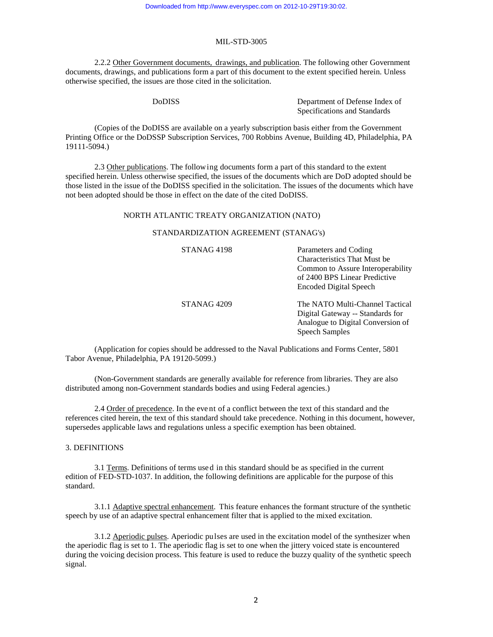#### MIL-STD-3005

<span id="page-7-0"></span>2.2.2 Other Government documents, drawings, and publication. The following other Government documents, drawings, and publications form a part of this document to the extent specified herein. Unless otherwise specified, the issues are those cited in the solicitation.

DoDISS Department of Defense Index of Specifications and Standards

(Copies of the DoDISS are available on a yearly subscription basis either from the Government Printing Office or the DoDSSP Subscription Services, 700 Robbins Avenue, Building 4D, Philadelphia, PA 19111-5094.)

2.3 Other publications. The following documents form a part of this standard to the extent specified herein. Unless otherwise specified, the issues of the documents which are DoD adopted should be those listed in the issue of the DoDISS specified in the solicitation. The issues of the documents which have not been adopted should be those in effect on the date of the cited DoDISS.

#### NORTH ATLANTIC TREATY ORGANIZATION (NATO)

#### STANDARDIZATION AGREEMENT (STANAG's)

| STANAG <sub>4198</sub> | Parameters and Coding<br><b>Characteristics That Must be</b><br>Common to Assure Interoperability<br>of 2400 BPS Linear Predictive<br><b>Encoded Digital Speech</b> |
|------------------------|---------------------------------------------------------------------------------------------------------------------------------------------------------------------|
| STANAG <sub>4209</sub> | The NATO Multi-Channel Tactical<br>Digital Gateway -- Standards for<br>Analogue to Digital Conversion of<br><b>Speech Samples</b>                                   |

(Application for copies should be addressed to the Naval Publications and Forms Center, 5801 Tabor Avenue, Philadelphia, PA 19120-5099.)

(Non-Government standards are generally available for reference from libraries. They are also distributed among non-Government standards bodies and using Federal agencies.)

2.4 Order of precedence. In the eve nt of a conflict between the text of this standard and the references cited herein, the text of this standard should take precedence. Nothing in this document, however, supersedes applicable laws and regulations unless a specific exemption has been obtained.

#### 3. DEFINITIONS

3.1 Terms. Definitions of terms used in this standard should be as specified in the current edition of FED-STD-1037. In addition, the following definitions are applicable for the purpose of this standard.

3.1.1 Adaptive spectral enhancement. This feature enhances the formant structure of the synthetic speech by use of an adaptive spectral enhancement filter that is applied to the mixed excitation.

3.1.2 Aperiodic pulses. Aperiodic pulses are used in the excitation model of the synthesizer when the aperiodic flag is set to 1. The aperiodic flag is set to one when the jittery voiced state is encountered during the voicing decision process. This feature is used to reduce the buzzy quality of the synthetic speech signal.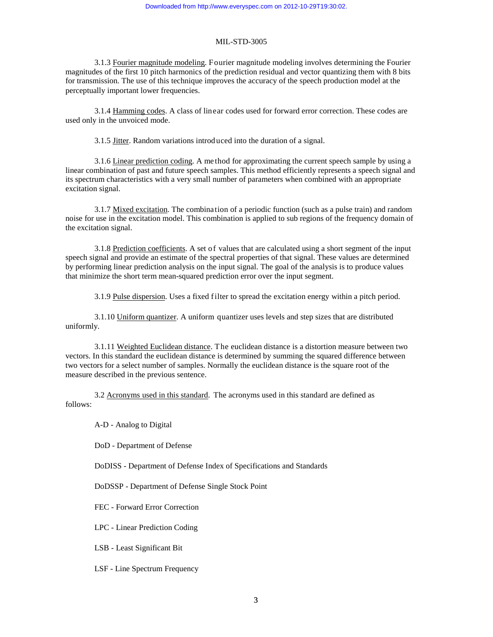#### MIL-STD-3005

<span id="page-8-0"></span>3.1.3 Fourier magnitude modeling. Fourier magnitude modeling involves determining the Fourier magnitudes of the first 10 pitch harmonics of the prediction residual and vector quantizing them with 8 bits for transmission. The use of this technique improves the accuracy of the speech production model at the perceptually important lower frequencies.

3.1.4 Hamming codes. A class of linear codes used for forward error correction. These codes are used only in the unvoiced mode.

3.1.5 Jitter. Random variations introd uced into the duration of a signal.

3.1.6 Linear prediction coding. A method for approximating the current speech sample by using a linear combination of past and future speech samples. This method efficiently represents a speech signal and its spectrum characteristics with a very small number of parameters when combined with an appropriate excitation signal.

3.1.7 Mixed excitation. The combination of a periodic function (such as a pulse train) and random noise for use in the excitation model. This combination is applied to sub regions of the frequency domain of the excitation signal.

3.1.8 Prediction coefficients. A set of values that are calculated using a short segment of the input speech signal and provide an estimate of the spectral properties of that signal. These values are determined by performing linear prediction analysis on the input signal. The goal of the analysis is to produce values that minimize the short term mean-squared prediction error over the input segment.

3.1.9 Pulse dispersion. Uses a fixed filter to spread the excitation energy within a pitch period.

3.1.10 Uniform quantizer. A uniform quantizer uses levels and step sizes that are distributed uniformly.

3.1.11 Weighted Euclidean distance. The euclidean distance is a distortion measure between two vectors. In this standard the euclidean distance is determined by summing the squared difference between two vectors for a select number of samples. Normally the euclidean distance is the square root of the measure described in the previous sentence.

3.2 Acronyms used in this standard. The acronyms used in this standard are defined as follows:

A-D - Analog to Digital

DoD - Department of Defense

DoDISS - Department of Defense Index of Specifications and Standards

DoDSSP - Department of Defense Single Stock Point

FEC - Forward Error Correction

LPC - Linear Prediction Coding

LSB - Least Significant Bit

LSF - Line Spectrum Frequency